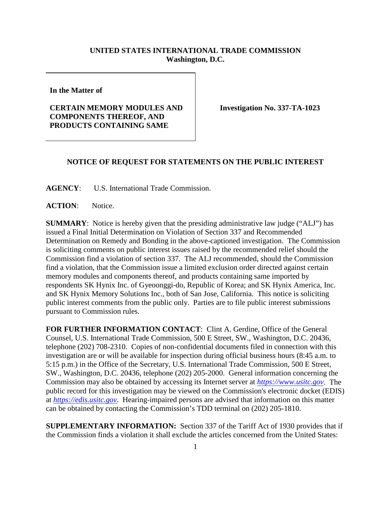## **UNITED STATES INTERNATIONAL TRADE COMMISSION Washington, D.C.**

**In the Matter of** 

## **CERTAIN MEMORY MODULES AND COMPONENTS THEREOF, AND PRODUCTS CONTAINING SAME**

**Investigation No. 337-TA-1023**

## **NOTICE OF REQUEST FOR STATEMENTS ON THE PUBLIC INTEREST**

**AGENCY**: U.S. International Trade Commission.

**ACTION**: Notice.

**SUMMARY**: Notice is hereby given that the presiding administrative law judge ("ALJ") has issued a Final Initial Determination on Violation of Section 337 and Recommended Determination on Remedy and Bonding in the above-captioned investigation. The Commission is soliciting comments on public interest issues raised by the recommended relief should the Commission find a violation of section 337. The ALJ recommended, should the Commission find a violation, that the Commission issue a limited exclusion order directed against certain memory modules and components thereof, and products containing same imported by respondents SK Hynix Inc. of Gyeoonggi-do, Republic of Korea; and SK Hynix America, Inc. and SK Hynix Memory Solutions Inc., both of San Jose, California. This notice is soliciting public interest comments from the public only. Parties are to file public interest submissions pursuant to Commission rules.

**FOR FURTHER INFORMATION CONTACT**: Clint A. Gerdine, Office of the General Counsel, U.S. International Trade Commission, 500 E Street, SW., Washington, D.C. 20436, telephone (202) 708-2310. Copies of non-confidential documents filed in connection with this investigation are or will be available for inspection during official business hours (8:45 a.m. to 5:15 p.m.) in the Office of the Secretary, U.S. International Trade Commission, 500 E Street, SW., Washington, D.C. 20436, telephone (202) 205-2000. General information concerning the Commission may also be obtained by accessing its Internet server at *[https://www.usitc.gov](https://www.usitc.gov/)*. The public record for this investigation may be viewed on the Commission's electronic docket (EDIS) at *[https://edis.usitc.gov](https://edis.usitc.gov/)*. Hearing-impaired persons are advised that information on this matter can be obtained by contacting the Commission's TDD terminal on (202) 205-1810.

**SUPPLEMENTARY INFORMATION:** Section 337 of the Tariff Act of 1930 provides that if the Commission finds a violation it shall exclude the articles concerned from the United States: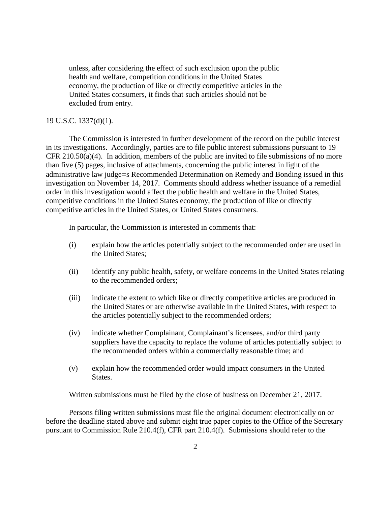unless, after considering the effect of such exclusion upon the public health and welfare, competition conditions in the United States economy, the production of like or directly competitive articles in the United States consumers, it finds that such articles should not be excluded from entry.

## 19 U.S.C. 1337(d)(1).

The Commission is interested in further development of the record on the public interest in its investigations. Accordingly, parties are to file public interest submissions pursuant to 19 CFR 210.50(a)(4). In addition, members of the public are invited to file submissions of no more than five (5) pages, inclusive of attachments, concerning the public interest in light of the administrative law judge=s Recommended Determination on Remedy and Bonding issued in this investigation on November 14, 2017. Comments should address whether issuance of a remedial order in this investigation would affect the public health and welfare in the United States, competitive conditions in the United States economy, the production of like or directly competitive articles in the United States, or United States consumers.

In particular, the Commission is interested in comments that:

- (i) explain how the articles potentially subject to the recommended order are used in the United States;
- (ii) identify any public health, safety, or welfare concerns in the United States relating to the recommended orders;
- (iii) indicate the extent to which like or directly competitive articles are produced in the United States or are otherwise available in the United States, with respect to the articles potentially subject to the recommended orders;
- (iv) indicate whether Complainant, Complainant's licensees, and/or third party suppliers have the capacity to replace the volume of articles potentially subject to the recommended orders within a commercially reasonable time; and
- (v) explain how the recommended order would impact consumers in the United States.

Written submissions must be filed by the close of business on December 21, 2017.

Persons filing written submissions must file the original document electronically on or before the deadline stated above and submit eight true paper copies to the Office of the Secretary pursuant to Commission Rule 210.4(f), CFR part 210.4(f). Submissions should refer to the